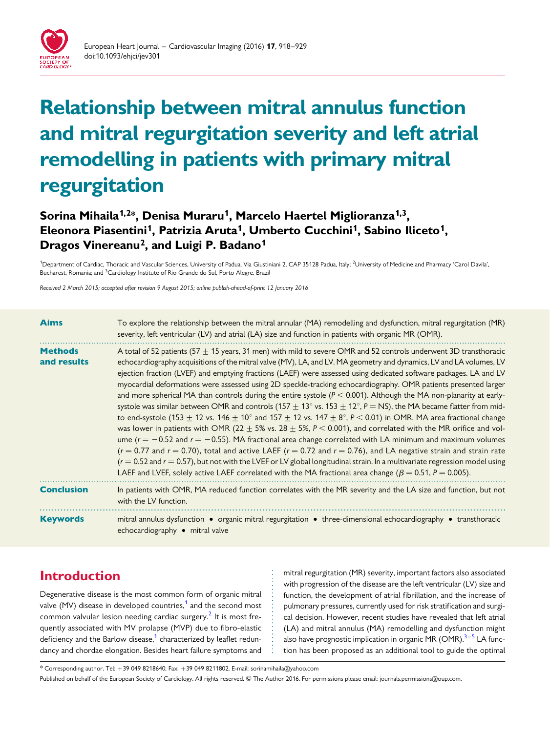

# Relationship between mitral annulus function and mitral regurgitation severity and left atrial remodelling in patients with primary mitral regurgitation

# Sorina Mihaila<sup>1,2\*</sup>, Denisa Muraru<sup>1</sup>, Marcelo Haertel Miglioranza<sup>1,3</sup>, Eleonora Piasentini<sup>1</sup>, Patrizia Aruta<sup>1</sup>, Umberto Cucchini<sup>1</sup>, Sabino Iliceto<sup>1</sup>, Dragos Vinereanu<sup>2</sup>, and Luigi P. Badano<sup>1</sup>

<sup>1</sup>Department of Cardiac, Thoracic and Vascular Sciences, University of Padua, Via Giustiniani 2, CAP 35128 Padua, Italy; <sup>2</sup>University of Medicine and Pharmacy 'Carol Davila', Bucharest, Romania; and <sup>3</sup>Cardiology Institute of Rio Grande do Sul, Porto Alegre, Brazil

Received 2 March 2015; accepted after revision 9 August 2015; online publish-ahead-of-print 12 January 2016

| <b>Aims</b>                   | To explore the relationship between the mitral annular (MA) remodelling and dysfunction, mitral regurgitation (MR)<br>severity, left ventricular (LV) and atrial (LA) size and function in patients with organic MR (OMR).                                                                                                                                                                                                                                                                                                                                                                                                                                                                                                                                                                                                                                                                                                                                                                                                                                                                                                                                                                                                                                                                                                                                                                                                                                                                                   |
|-------------------------------|--------------------------------------------------------------------------------------------------------------------------------------------------------------------------------------------------------------------------------------------------------------------------------------------------------------------------------------------------------------------------------------------------------------------------------------------------------------------------------------------------------------------------------------------------------------------------------------------------------------------------------------------------------------------------------------------------------------------------------------------------------------------------------------------------------------------------------------------------------------------------------------------------------------------------------------------------------------------------------------------------------------------------------------------------------------------------------------------------------------------------------------------------------------------------------------------------------------------------------------------------------------------------------------------------------------------------------------------------------------------------------------------------------------------------------------------------------------------------------------------------------------|
| <b>Methods</b><br>and results | A total of 52 patients (57 $\pm$ 15 years, 31 men) with mild to severe OMR and 52 controls underwent 3D transthoracic<br>echocardiography acquisitions of the mitral valve (MV), LA, and LV. MA geometry and dynamics, LV and LA volumes, LV<br>ejection fraction (LVEF) and emptying fractions (LAEF) were assessed using dedicated software packages. LA and LV<br>myocardial deformations were assessed using 2D speckle-tracking echocardiography. OMR patients presented larger<br>and more spherical MA than controls during the entire systole $(P < 0.001)$ . Although the MA non-planarity at early-<br>systole was similar between OMR and controls (157 $\pm$ 13° vs. 153 $\pm$ 12°, P = NS), the MA became flatter from mid-<br>to end-systole (153 $\pm$ 12 vs. 146 $\pm$ 10° and 157 $\pm$ 12 vs. 147 $\pm$ 8°, P < 0.01) in OMR. MA area fractional change<br>was lower in patients with OMR ( $22 \pm 5\%$ vs. $28 \pm 5\%$ , $P < 0.001$ ), and correlated with the MR orifice and vol-<br>ume $(r = -0.52$ and $r = -0.55$ ). MA fractional area change correlated with LA minimum and maximum volumes<br>$(r = 0.77$ and $r = 0.70$ ), total and active LAEF ( $r = 0.72$ and $r = 0.76$ ), and LA negative strain and strain rate<br>$(r = 0.52$ and $r = 0.57$ ), but not with the LVEF or LV global longitudinal strain. In a multivariate regression model using<br>LAEF and LVEF, solely active LAEF correlated with the MA fractional area change ( $\beta = 0.51$ , $P = 0.005$ ). |
| <b>Conclusion</b>             | In patients with OMR, MA reduced function correlates with the MR severity and the LA size and function, but not<br>with the LV function.                                                                                                                                                                                                                                                                                                                                                                                                                                                                                                                                                                                                                                                                                                                                                                                                                                                                                                                                                                                                                                                                                                                                                                                                                                                                                                                                                                     |
| <b>Keywords</b>               | mitral annulus dysfunction • organic mitral regurgitation • three-dimensional echocardiography • transthoracic<br>echocardiography • mitral valve                                                                                                                                                                                                                                                                                                                                                                                                                                                                                                                                                                                                                                                                                                                                                                                                                                                                                                                                                                                                                                                                                                                                                                                                                                                                                                                                                            |

# Introduction

Degenerative disease is the most common form of organic mitral valve (MV) disease in developed countries, $<sup>1</sup>$  $<sup>1</sup>$  $<sup>1</sup>$  and the second most</sup> common valvular lesion needing cardiac surgery.<sup>[2](#page-10-0)</sup> It is most frequently associated with MV prolapse (MVP) due to fibro-elastic deficiency and the Barlow disease,<sup>[1](#page-10-0)</sup> characterized by leaflet redundancy and chordae elongation. Besides heart failure symptoms and mitral regurgitation (MR) severity, important factors also associated with progression of the disease are the left ventricular (LV) size and function, the development of atrial fibrillation, and the increase of pulmonary pressures, currently used for risk stratification and surgical decision. However, recent studies have revealed that left atrial (LA) and mitral annulus (MA) remodelling and dysfunction might also have prognostic implication in organic MR (OMR). $3-5$  $3-5$  $3-5$  LA function has been proposed as an additional tool to guide the optimal

\* Corresponding author. Tel: +39 049 8218640; Fax: +39 049 8211802. E-mail: sorinamihaila@yahoo.com

Published on behalf of the European Society of Cardiology. All rights reserved. © The Author 2016. For permissions please email: journals.permissions@oup.com.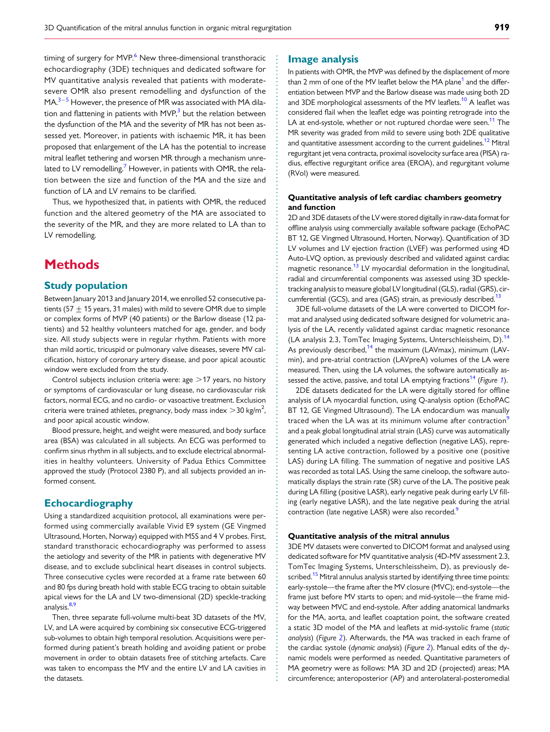timing of surgery for MVP.<sup>[6](#page-11-0)</sup> New three-dimensional transthoracic echocardiography (3DE) techniques and dedicated software for MV quantitative analysis revealed that patients with moderatesevere OMR also present remodelling and dysfunction of the  $MA.<sup>3-5</sup>$  $MA.<sup>3-5</sup>$  $MA.<sup>3-5</sup>$  $MA.<sup>3-5</sup>$  $MA.<sup>3-5</sup>$  However, the presence of MR was associated with MA dilation and flattening in patients with MVP, $3$  but the relation between the dysfunction of the MA and the severity of MR has not been assessed yet. Moreover, in patients with ischaemic MR, it has been proposed that enlargement of the LA has the potential to increase mitral leaflet tethering and worsen MR through a mechanism unre-lated to LV remodelling.<sup>[7](#page-11-0)</sup> However, in patients with OMR, the relation between the size and function of the MA and the size and function of LA and LV remains to be clarified.

Thus, we hypothesized that, in patients with OMR, the reduced function and the altered geometry of the MA are associated to the severity of the MR, and they are more related to LA than to LV remodelling.

# **Methods**

#### Study population

Between January 2013 and January 2014, we enrolled 52 consecutive patients (57  $\pm$  15 years, 31 males) with mild to severe OMR due to simple or complex forms of MVP (40 patients) or the Barlow disease (12 patients) and 52 healthy volunteers matched for age, gender, and body size. All study subjects were in regular rhythm. Patients with more than mild aortic, tricuspid or pulmonary valve diseases, severe MV calcification, history of coronary artery disease, and poor apical acoustic window were excluded from the study.

Control subjects inclusion criteria were: age  $>17$  years, no history or symptoms of cardiovascular or lung disease, no cardiovascular risk factors, normal ECG, and no cardio- or vasoactive treatment. Exclusion criteria were trained athletes, pregnancy, body mass index  $>$ 30 kg/m<sup>2</sup>, , and poor apical acoustic window.

Blood pressure, height, and weight were measured, and body surface area (BSA) was calculated in all subjects. An ECG was performed to confirm sinus rhythm in all subjects, and to exclude electrical abnormalities in healthy volunteers. University of Padua Ethics Committee approved the study (Protocol 2380 P), and all subjects provided an informed consent.

## Echocardiography

Using a standardized acquisition protocol, all examinations were performed using commercially available Vivid E9 system (GE Vingmed Ultrasound, Horten, Norway) equipped with M5S and 4 V probes. First, standard transthoracic echocardiography was performed to assess the aetiology and severity of the MR in patients with degenerative MV disease, and to exclude subclinical heart diseases in control subjects. Three consecutive cycles were recorded at a frame rate between 60 and 80 fps during breath hold with stable ECG tracing to obtain suitable apical views for the LA and LV two-dimensional (2D) speckle-tracking analysis.<sup>[8,9](#page-11-0)</sup>

Then, three separate full-volume multi-beat 3D datasets of the MV, LV, and LA were acquired by combining six consecutive ECG-triggered sub-volumes to obtain high temporal resolution. Acquisitions were performed during patient's breath holding and avoiding patient or probe movement in order to obtain datasets free of stitching artefacts. Care was taken to encompass the MV and the entire LV and LA cavities in the datasets.

#### Image analysis

In patients with OMR, the MVP was defined by the displacement of more than 2 mm of one of the MV leaflet below the MA plane<sup>[1](#page-10-0)</sup> and the differentiation between MVP and the Barlow disease was made using both 2D and 3DE morphological assessments of the MV leaflets.<sup>[10](#page-11-0)</sup> A leaflet was considered flail when the leaflet edge was pointing retrograde into the LA at end-systole, whether or not ruptured chordae were seen.<sup>[11](#page-11-0)</sup> The MR severity was graded from mild to severe using both 2DE qualitative and quantitative assessment according to the current guidelines.<sup>12</sup> Mitral regurgitant jet vena contracta, proximal isovelocity surface area (PISA) radius, effective regurgitant orifice area (EROA), and regurgitant volume (RVol) were measured.

#### Quantitative analysis of left cardiac chambers geometry and function

2D and 3DE datasets of the LV were stored digitally in raw-data format for offline analysis using commercially available software package (EchoPAC BT 12, GE Vingmed Ultrasound, Horten, Norway). Quantification of 3D LV volumes and LV ejection fraction (LVEF) was performed using 4D Auto-LVQ option, as previously described and validated against cardiac magnetic resonance.<sup>[13](#page-11-0)</sup> LV myocardial deformation in the longitudinal, radial and circumferential components was assessed using 3D speckletracking analysis to measure global LV longitudinal (GLS), radial (GRS), circumferential (GCS), and area (GAS) strain, as previously described.<sup>13</sup>

3DE full-volume datasets of the LA were converted to DICOM format and analysed using dedicated software designed for volumetric analysis of the LA, recently validated against cardiac magnetic resonance (LA analysis 2.3, TomTec Imaging Systems, Unterschleissheim, D).<sup>[14](#page-11-0)</sup> As previously described, $14$  the maximum (LAVmax), minimum (LAVmin), and pre-atrial contraction (LAVpreA) volumes of the LA were measured. Then, using the LA volumes, the software automatically as-sessed the active, passive, and total LA emptying fractions<sup>[14](#page-11-0)</sup> (Figure [1](#page-2-0)).

2DE datasets dedicated for the LA were digitally stored for offline analysis of LA myocardial function, using Q-analysis option (EchoPAC BT 12, GE Vingmed Ultrasound). The LA endocardium was manually traced when the LA was at its minimum volume after contraction<sup>[9](#page-11-0)</sup> and a peak global longitudinal atrial strain (LAS) curve was automatically generated which included a negative deflection (negative LAS), representing LA active contraction, followed by a positive one (positive LAS) during LA filling. The summation of negative and positive LAS was recorded as total LAS. Using the same cineloop, the software automatically displays the strain rate (SR) curve of the LA. The positive peak during LA filling (positive LASR), early negative peak during early LV filling (early negative LASR), and the late negative peak during the atrial contraction (late negative LASR) were also recorded.<sup>[9](#page-11-0)</sup>

#### Quantitative analysis of the mitral annulus

3DE MV datasets were converted to DICOM format and analysed using dedicated software for MV quantitative analysis (4D-MV assessment 2.3, TomTec Imaging Systems, Unterschleissheim, D), as previously de-scribed.<sup>[15](#page-11-0)</sup> Mitral annulus analysis started by identifying three time points: early-systole—the frame after the MV closure (MVC); end-systole—the frame just before MV starts to open; and mid-systole—the frame midway between MVC and end-systole. After adding anatomical landmarks for the MA, aorta, and leaflet coaptation point, the software created a static 3D model of the MA and leaflets at mid-systolic frame (static analysis) (Figure [2](#page-3-0)). Afterwards, the MA was tracked in each frame of the cardiac systole (dynamic analysis) (Figure [2](#page-3-0)). Manual edits of the dynamic models were performed as needed. Quantitative parameters of MA geometry were as follows: MA 3D and 2D (projected) areas; MA circumference; anteroposterior (AP) and anterolateral-posteromedial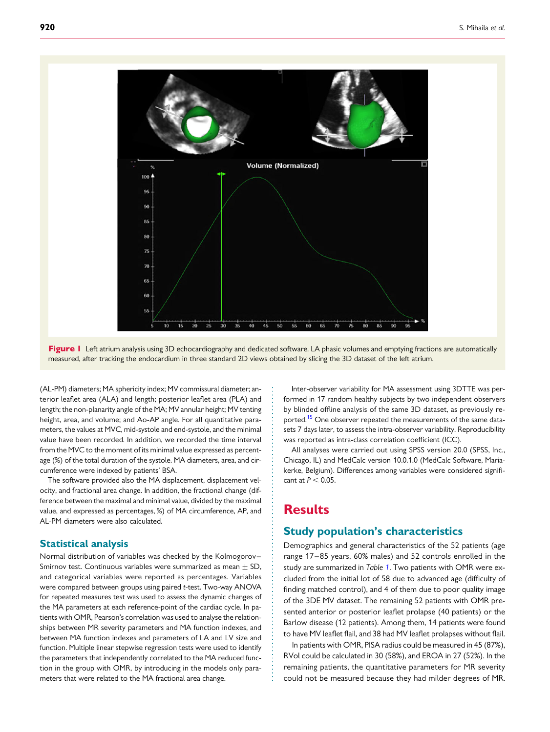<span id="page-2-0"></span>



(AL-PM) diameters; MA sphericity index; MV commissural diameter; anterior leaflet area (ALA) and length; posterior leaflet area (PLA) and length; the non-planarity angle of the MA; MV annular height; MV tenting height, area, and volume; and Ao-AP angle. For all quantitative parameters, the values at MVC, mid-systole and end-systole, and the minimal value have been recorded. In addition, we recorded the time interval from the MVC to the moment of its minimal value expressed as percentage (%) of the total duration of the systole. MA diameters, area, and circumference were indexed by patients' BSA.

The software provided also the MA displacement, displacement velocity, and fractional area change. In addition, the fractional change (difference between the maximal and minimal value, divided by the maximal value, and expressed as percentages, %) of MA circumference, AP, and AL-PM diameters were also calculated.

## Statistical analysis

Normal distribution of variables was checked by the Kolmogorov– Smirnov test. Continuous variables were summarized as mean  $\pm$  SD, and categorical variables were reported as percentages. Variables were compared between groups using paired t-test. Two-way ANOVA for repeated measures test was used to assess the dynamic changes of the MA parameters at each reference-point of the cardiac cycle. In patients with OMR, Pearson's correlation was used to analyse the relationships between MR severity parameters and MA function indexes, and between MA function indexes and parameters of LA and LV size and function. Multiple linear stepwise regression tests were used to identify the parameters that independently correlated to the MA reduced function in the group with OMR, by introducing in the models only parameters that were related to the MA fractional area change.

Inter-observer variability for MA assessment using 3DTTE was performed in 17 random healthy subjects by two independent observers by blinded offline analysis of the same 3D dataset, as previously re-ported.<sup>[15](#page-11-0)</sup> One observer repeated the measurements of the same datasets 7 days later, to assess the intra-observer variability. Reproducibility was reported as intra-class correlation coefficient (ICC).

All analyses were carried out using SPSS version 20.0 (SPSS, Inc., Chicago, IL) and MedCalc version 10.0.1.0 (MedCalc Software, Mariakerke, Belgium). Differences among variables were considered significant at  $P < 0.05$ .

# **Results**

## Study population's characteristics

Demographics and general characteristics of the 52 patients (age range 17–85 years, 60% males) and 52 controls enrolled in the study are summarized in Table [1](#page-4-0). Two patients with OMR were excluded from the initial lot of 58 due to advanced age (difficulty of finding matched control), and 4 of them due to poor quality image of the 3DE MV dataset. The remaining 52 patients with OMR presented anterior or posterior leaflet prolapse (40 patients) or the Barlow disease (12 patients). Among them, 14 patients were found to have MV leaflet flail, and 38 had MV leaflet prolapses without flail.

In patients with OMR, PISA radius could be measured in 45 (87%), RVol could be calculated in 30 (58%), and EROA in 27 (52%). In the remaining patients, the quantitative parameters for MR severity could not be measured because they had milder degrees of MR.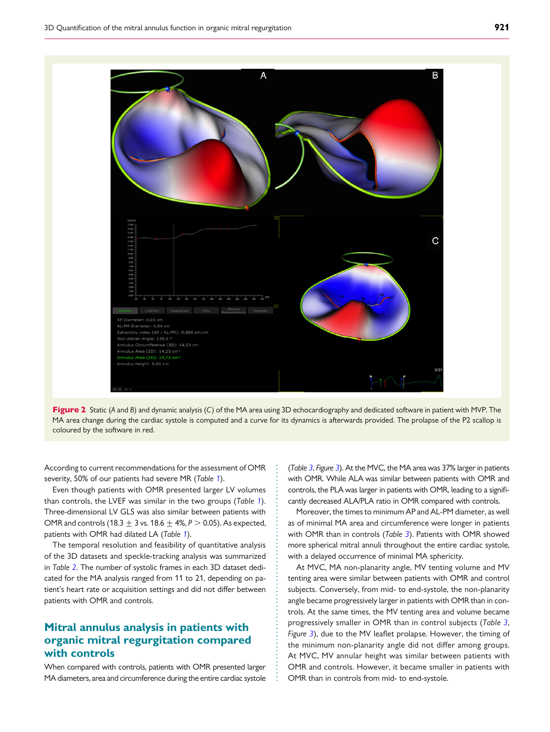<span id="page-3-0"></span>

Figure 2 Static (A and B) and dynamic analysis (C) of the MA area using 3D echocardiography and dedicated software in patient with MVP. The MA area change during the cardiac systole is computed and a curve for its dynamics is afterwards provided. The prolapse of the P2 scallop is coloured by the software in red.

According to current recommendations for the assessment of OMR severity, 50% of our patients had severe MR (Table [1](#page-4-0)).

Even though patients with OMR presented larger LV volumes than controls, the LVEF was similar in the two groups (Table [1](#page-4-0)). Three-dimensional LV GLS was also similar between patients with OMR and controls (18.3  $\pm$  3 vs. 18.6  $\pm$  4%, P > 0.05). As expected, patients with OMR had dilated LA (Table [1](#page-4-0)).

The temporal resolution and feasibility of quantitative analysis of the 3D datasets and speckle-tracking analysis was summarized in Table [2](#page-4-0). The number of systolic frames in each 3D dataset dedicated for the MA analysis ranged from 11 to 21, depending on patient's heart rate or acquisition settings and did not differ between patients with OMR and controls.

## Mitral annulus analysis in patients with organic mitral regurgitation compared with controls

When compared with controls, patients with OMR presented larger MA diameters, area and circumference during the entire cardiac systole (Table [3](#page-5-0), Figure [3](#page-7-0)). At the MVC, the MA area was 37% larger in patients with OMR. While ALA was similar between patients with OMR and controls, the PLA was larger in patients with OMR, leading to a significantly decreased ALA/PLA ratio in OMR compared with controls.

Moreover, the times to minimum AP and AL-PM diameter, as well as of minimal MA area and circumference were longer in patients with OMR than in controls (Table [3](#page-5-0)). Patients with OMR showed more spherical mitral annuli throughout the entire cardiac systole, with a delayed occurrence of minimal MA sphericity.

At MVC, MA non-planarity angle, MV tenting volume and MV tenting area were similar between patients with OMR and control subjects. Conversely, from mid- to end-systole, the non-planarity angle became progressively larger in patients with OMR than in controls. At the same times, the MV tenting area and volume became progressively smaller in OMR than in control subjects (Table [3](#page-5-0), Figure [3](#page-7-0)), due to the MV leaflet prolapse. However, the timing of the minimum non-planarity angle did not differ among groups. At MVC, MV annular height was similar between patients with OMR and controls. However, it became smaller in patients with OMR than in controls from mid- to end-systole.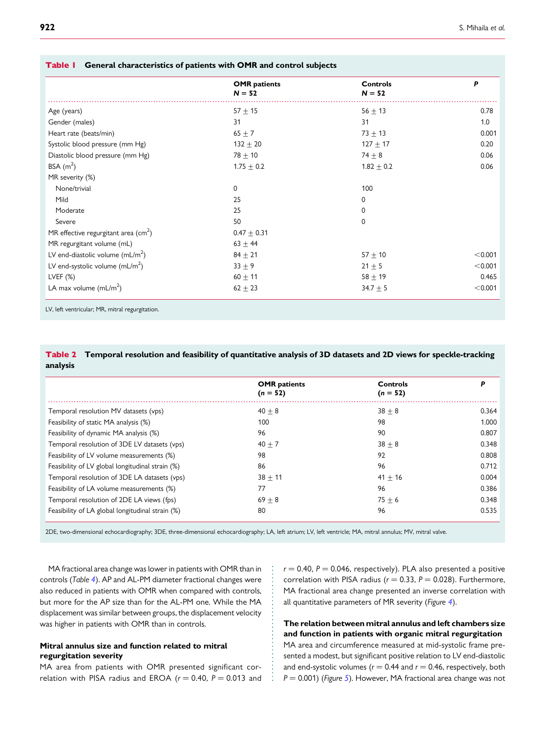<span id="page-4-0"></span>

|                                                  | <b>OMR</b> patients | <b>Controls</b> | P       |
|--------------------------------------------------|---------------------|-----------------|---------|
|                                                  | $N = 52$            | $N = 52$        |         |
| Age (years)                                      | $57 + 15$           | $56 + 13$       | 0.78    |
| Gender (males)                                   | 31                  | 31              | 1.0     |
| Heart rate (beats/min)                           | $65 \pm 7$          | $73 + 13$       | 0.001   |
| Systolic blood pressure (mm Hg)                  | $132 + 20$          | $127 + 17$      | 0.20    |
| Diastolic blood pressure (mm Hg)                 | $78 + 10$           | $74 \pm 8$      | 0.06    |
| BSA $(m^2)$                                      | $1.75 \pm 0.2$      | $1.82 \pm 0.2$  | 0.06    |
| MR severity (%)                                  |                     |                 |         |
| None/trivial                                     | $\mathbf{0}$        | 100             |         |
| Mild                                             | 25                  | 0               |         |
| Moderate                                         | 25                  | 0               |         |
| Severe                                           | 50                  | $\mathbf 0$     |         |
| MR effective regurgitant area (cm <sup>2</sup> ) | $0.47 \pm 0.31$     |                 |         |
| MR regurgitant volume (mL)                       | $63 \pm 44$         |                 |         |
| LV end-diastolic volume $(mL/m^2)$               | $84 \pm 21$         | $57 + 10$       | < 0.001 |
| LV end-systolic volume $(mL/m^2)$                | $33 + 9$            | $21 \pm 5$      | < 0.001 |
| LVEF $(%)$                                       | $60 + 11$           | $58 + 19$       | 0.465   |
| LA max volume $(mL/m^2)$                         | $62 \pm 23$         | $34.7 + 5$      | < 0.001 |

LV, left ventricular; MR, mitral regurgitation.

|          | <b>Table 2</b> Temporal resolution and feasibility of quantitative analysis of 3D datasets and 2D views for speckle-tracking |
|----------|------------------------------------------------------------------------------------------------------------------------------|
| analysis |                                                                                                                              |

|                                                  | <b>OMR</b> patients<br>$(n = 52)$ | Controls<br>$(n = 52)$ | P     |
|--------------------------------------------------|-----------------------------------|------------------------|-------|
| Temporal resolution MV datasets (vps)            | $40 + 8$                          | $38 + 8$               | 0.364 |
| Feasibility of static MA analysis (%)            | 100                               | 98                     | 1.000 |
| Feasibility of dynamic MA analysis (%)           | 96                                | 90                     | 0.807 |
| Temporal resolution of 3DE LV datasets (vps)     | $40 + 7$                          | $38 + 8$               | 0.348 |
| Feasibility of LV volume measurements (%)        | 98                                | 92                     | 0.808 |
| Feasibility of LV global longitudinal strain (%) | 86                                | 96                     | 0.712 |
| Temporal resolution of 3DE LA datasets (vps)     | $38 + 11$                         | $41 + 16$              | 0.004 |
| Feasibility of LA volume measurements (%)        | 77                                | 96                     | 0.386 |
| Temporal resolution of 2DE LA views (fps)        | $69 + 8$                          | $75 + 6$               | 0.348 |
| Feasibility of LA global longitudinal strain (%) | 80                                | 96                     | 0.535 |

2DE, two-dimensional echocardiography; 3DE, three-dimensional echocardiography; LA, left atrium; LV, left ventricle; MA, mitral annulus; MV, mitral valve.

MA fractional area change was lower in patients with OMR than in controls (Table [4](#page-8-0)). AP and AL-PM diameter fractional changes were also reduced in patients with OMR when compared with controls, but more for the AP size than for the AL-PM one. While the MA displacement was similar between groups, the displacement velocity was higher in patients with OMR than in controls.

#### Mitral annulus size and function related to mitral regurgitation severity

MA area from patients with OMR presented significant correlation with PISA radius and EROA ( $r = 0.40$ ,  $P = 0.013$  and  $r = 0.40$ ,  $P = 0.046$ , respectively). PLA also presented a positive correlation with PISA radius ( $r = 0.33$ ,  $P = 0.028$ ). Furthermore, MA fractional area change presented an inverse correlation with all quantitative parameters of MR severity (Figure [4](#page-8-0)).

The relation between mitral annulus and left chambers size and function in patients with organic mitral regurgitation MA area and circumference measured at mid-systolic frame presented a modest, but significant positive relation to LV end-diastolic and end-systolic volumes ( $r = 0.44$  and  $r = 0.46$ , respectively, both  $P = 0.001$ ) (Figure [5](#page-8-0)). However, MA fractional area change was not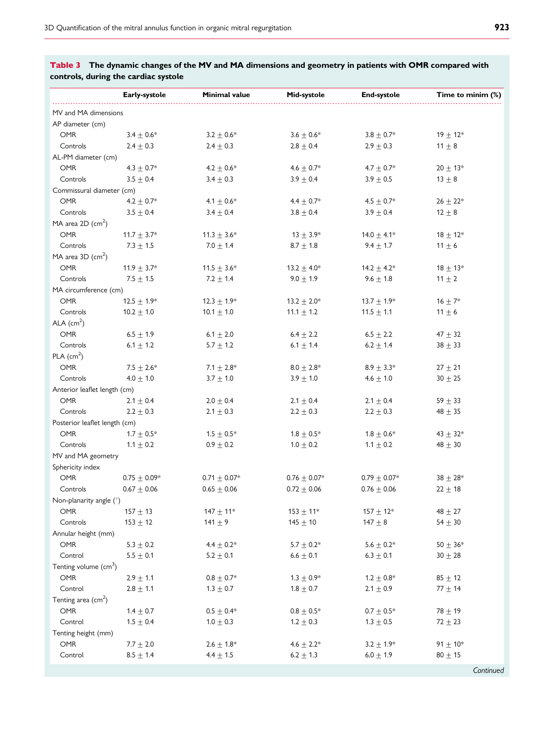|                                     | Early-systole    | Minimal value    | Mid-systole       | <b>End-systole</b> | Time to minim (%) |
|-------------------------------------|------------------|------------------|-------------------|--------------------|-------------------|
| MV and MA dimensions                |                  |                  |                   |                    |                   |
| AP diameter (cm)                    |                  |                  |                   |                    |                   |
| <b>OMR</b>                          | $3.4 \pm 0.6*$   | $3.2 \pm 0.6*$   | $3.6 \pm 0.6*$    | $3.8 \pm 0.7*$     | $19 \pm 12*$      |
| Controls                            | $2.4 \pm 0.3$    | $2.4 \pm 0.3$    | $2.8 \pm 0.4$     | $2.9 \pm 0.3$      | $11 \pm 8$        |
| AL-PM diameter (cm)                 |                  |                  |                   |                    |                   |
| <b>OMR</b>                          | $4.3 \pm 0.7*$   | $4.2 \pm 0.6*$   | $4.6 \pm 0.7*$    | $4.7 \pm 0.7*$     | $20 \pm 13*$      |
| Controls                            | $3.5 \pm 0.4$    | $3.4 \pm 0.3$    | $3.9 \pm 0.4$     | $3.9 \pm 0.5$      | $13 \pm 8$        |
| Commissural diameter (cm)           |                  |                  |                   |                    |                   |
| <b>OMR</b>                          | $4.2 \pm 0.7*$   | $4.1 \pm 0.6*$   | $4.4 \pm 0.7*$    | $4.5 \pm 0.7*$     | $26 \pm 22*$      |
| Controls                            | $3.5 \pm 0.4$    | $3.4 \pm 0.4$    | $3.8 \pm 0.4$     | $3.9 \pm 0.4$      | $12 \pm 8$        |
| MA area 2D $(cm2)$                  |                  |                  |                   |                    |                   |
| <b>OMR</b>                          | $11.7 \pm 3.7*$  | $11.3 \pm 3.6*$  | $13 \pm 3.9*$     | $14.0 \pm 4.1*$    | $18 \pm 12*$      |
| Controls                            | $7.3 \pm 1.5$    | $7.0 \pm 1.4$    | $8.7 \pm 1.8$     | $9.4 \pm 1.7$      | $11 \pm 6$        |
| MA area $3D$ (cm <sup>2</sup> )     |                  |                  |                   |                    |                   |
| <b>OMR</b>                          | $11.9 \pm 3.7*$  | $11.5 \pm 3.6*$  | $13.2 \pm 4.0*$   | $14.2 \pm 4.2*$    | $18 \pm 13*$      |
| Controls                            | $7.5 \pm 1.5$    | $7.2 \pm 1.4$    | $9.0 \pm 1.9$     | $9.6 \pm 1.8$      | $11 \pm 2$        |
| MA circumference (cm)               |                  |                  |                   |                    |                   |
| <b>OMR</b>                          | $12.5 \pm 1.9*$  | $12.3 \pm 1.9*$  | $13.2 \pm 2.0*$   | $13.7 \pm 1.9*$    | $16 + 7*$         |
| Controls                            | $10.2 \pm 1.0$   | $10.1 \pm 1.0$   | $11.1 \pm 1.2$    | $11.5 \pm 1.1$     | $11 \pm 6$        |
| ALA $(cm2)$                         |                  |                  |                   |                    |                   |
| <b>OMR</b>                          | $6.5 \pm 1.9$    | 6.1 $\pm$ 2.0    | $6.4 \pm 2.2$     | $6.5 \pm 2.2$      | $47 + 32$         |
| Controls                            | $6.1 \pm 1.2$    | $5.7 \pm 1.2$    | $6.1 \pm 1.4$     | $6.2 \pm 1.4$      | $38 + 33$         |
| $PLA$ (cm <sup>2</sup> )            |                  |                  |                   |                    |                   |
| <b>OMR</b>                          | $7.5 \pm 2.6*$   | $7.1 \pm 2.8^*$  | $8.0 \pm 2.8^*$   | $8.9 \pm 3.3*$     | $27 + 21$         |
| Controls                            | $4.0 \pm 1.0$    | $3.7 \pm 1.0$    | $3.9 \pm 1.0$     | $4.6 \pm 1.0$      | $30 + 25$         |
| Anterior leaflet length (cm)        |                  |                  |                   |                    |                   |
| <b>OMR</b>                          | $2.1 \pm 0.4$    | $2.0 \pm 0.4$    | $2.1 \pm 0.4$     | $2.1 \pm 0.4$      | $59 + 33$         |
| Controls                            | $2.2 \pm 0.3$    | $2.1 \pm 0.3$    | $2.2 \pm 0.3$     | $2.2 \pm 0.3$      | $48 + 35$         |
| Posterior leaflet length (cm)       |                  |                  |                   |                    |                   |
| <b>OMR</b>                          | $1.7 \pm 0.5*$   | $1.5 \pm 0.5*$   | $1.8 \pm 0.5*$    | $1.8 \pm 0.6*$     | $43 \pm 32*$      |
| Controls                            | $1.1 \pm 0.2$    | $0.9 \pm 0.2$    | $1.0 \pm 0.2$     | $1.1 \pm 0.2$      | $48 \pm 30$       |
| MV and MA geometry                  |                  |                  |                   |                    |                   |
| Sphericity index                    |                  |                  |                   |                    |                   |
| <b>OMR</b>                          | $0.75 \pm 0.09*$ | $0.71 \pm 0.07*$ | $0.76 \pm 0.07*$  | $0.79 \pm 0.07*$   | $38 \pm 28*$      |
| Controls                            | $0.67 \pm 0.06$  | $0.65 \pm 0.06$  | $0.72 \pm 0.06$   | $0.76 \pm 0.06$    | $22 \pm 18$       |
| Non-planarity angle (°)             |                  |                  |                   |                    |                   |
| <b>OMR</b>                          | $157 + 13$       | $147 \pm 11*$    | $153 \pm 11*$     | $157\pm12^*$       | $48 + 27$         |
| Controls                            | $153 \pm 12$     | $141 + 9$        | $145 + 10$        | $147 \pm 8$        | $54 + 30$         |
| Annular height (mm)                 |                  |                  |                   |                    |                   |
| <b>OMR</b>                          | $5.3 \pm 0.2$    | $4.4 \pm 0.2*$   | $5.7 \pm 0.2*$    | $5.6\pm0.2^*$      | $50\pm36^*$       |
| Control                             | $5.5 \pm 0.1$    | $5.2 \pm 0.1$    | $6.6 \pm 0.1$     | $6.3 \pm 0.1$      | $30 + 28$         |
| Tenting volume (cm <sup>3</sup> )   |                  |                  |                   |                    |                   |
| <b>OMR</b>                          | $2.9 \pm 1.1$    | $0.8 \pm 0.7*$   | $1.3 \pm 0.9*$    | $1.2 \pm 0.8^*$    | $85 + 12$         |
| Control                             | $2.8 \pm 1.1$    | $1.3 \pm 0.7$    | $1.8 \pm 0.7$     | $2.1 \pm 0.9$      | $77 + 14$         |
| Tenting area $\text{(cm}^2\text{)}$ |                  |                  |                   |                    |                   |
| OMR                                 | $1.4 \pm 0.7$    | $0.5\pm0.4^*$    | $0.8 \pm 0.5^{*}$ | $0.7 \pm 0.5*$     | $78 + 19$         |
| Control                             | $1.5 \pm 0.4$    | $1.0 \pm 0.3$    | $1.2 \pm 0.3$     | $1.3 \pm 0.5$      | $72 + 23$         |
| Tenting height (mm)                 |                  |                  |                   |                    |                   |
| <b>OMR</b>                          | $7.7 \pm 2.0$    | $2.6 \pm 1.8*$   | $4.6 \pm 2.2^{*}$ | $3.2 \pm 1.9^{*}$  | $91 \pm 10*$      |
| Control                             | $8.5 \pm 1.4$    | $4.4 \pm 1.5$    | $6.2 \pm 1.3$     | $6.0 \pm 1.9$      | $80 \pm 15$       |
|                                     |                  |                  |                   |                    |                   |
|                                     |                  |                  |                   |                    | Continued         |

<span id="page-5-0"></span>Table 3 The dynamic changes of the MV and MA dimensions and geometry in patients with OMR compared with controls, during the cardiac systole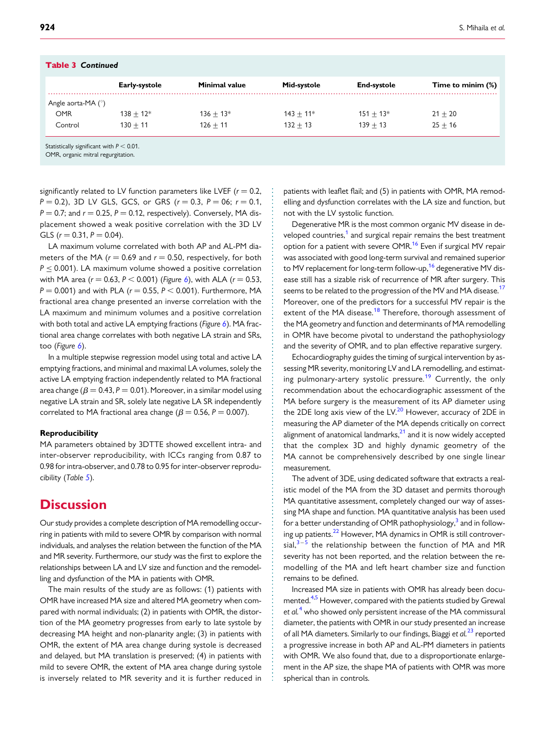|                    | Early-systole | <b>Minimal value</b> | Mid-systole | <b>End-systole</b> | Time to minim (%) |
|--------------------|---------------|----------------------|-------------|--------------------|-------------------|
| Angle aorta-MA (°) |               |                      |             |                    |                   |
| <b>OMR</b>         | $138 + 12*$   | $136 + 13*$          | $143 + 11*$ | $151 + 13*$        | $21 + 20$         |
| Control            | $130 + 11$    | $126 + 11$           | $132 + 13$  | $139 + 13$         | $25 + 16$         |

significantly related to LV function parameters like LVEF ( $r = 0.2$ ,  $P = 0.2$ ), 3D LV GLS, GCS, or GRS ( $r = 0.3$ ,  $P = 06$ ;  $r = 0.1$ ,  $P = 0.7$ ; and  $r = 0.25$ ,  $P = 0.12$ , respectively). Conversely, MA displacement showed a weak positive correlation with the 3D LV GLS ( $r = 0.31$ ,  $P = 0.04$ ).

LA maximum volume correlated with both AP and AL-PM diameters of the MA ( $r = 0.69$  and  $r = 0.50$ , respectively, for both  $P \leq 0.001$ ). LA maximum volume showed a positive correlation with MA area ( $r = 0.63$  $r = 0.63$  $r = 0.63$ ,  $P < 0.001$ ) (Figure 6), with ALA ( $r = 0.53$ ,  $P = 0.001$ ) and with PLA ( $r = 0.55$ ,  $P < 0.001$ ). Furthermore, MA fractional area change presented an inverse correlation with the LA maximum and minimum volumes and a positive correlation with both total and active LA emptying fractions (Figure  $6$ ). MA fractional area change correlates with both negative LA strain and SRs, too (Figure  $6$ ).

In a multiple stepwise regression model using total and active LA emptying fractions, and minimal and maximal LA volumes, solely the active LA emptying fraction independently related to MA fractional area change ( $\beta = 0.43$ ,  $P = 0.01$ ). Moreover, in a similar model using negative LA strain and SR, solely late negative LA SR independently correlated to MA fractional area change ( $\beta$  = 0.56, P = 0.007).

#### Reproducibility

MA parameters obtained by 3DTTE showed excellent intra- and inter-observer reproducibility, with ICCs ranging from 0.87 to 0.98 for intra-observer, and 0.78 to 0.95 for inter-observer reprodu-cibility (Table [5](#page-10-0)).

# **Discussion**

Our study provides a complete description of MA remodelling occurring in patients with mild to severe OMR by comparison with normal individuals, and analyses the relation between the function of the MA and MR severity. Furthermore, our study was the first to explore the relationships between LA and LV size and function and the remodelling and dysfunction of the MA in patients with OMR.

The main results of the study are as follows: (1) patients with OMR have increased MA size and altered MA geometry when compared with normal individuals; (2) in patients with OMR, the distortion of the MA geometry progresses from early to late systole by decreasing MA height and non-planarity angle; (3) in patients with OMR, the extent of MA area change during systole is decreased and delayed, but MA translation is preserved; (4) in patients with mild to severe OMR, the extent of MA area change during systole is inversely related to MR severity and it is further reduced in patients with leaflet flail; and (5) in patients with OMR, MA remodelling and dysfunction correlates with the LA size and function, but not with the LV systolic function.

Degenerative MR is the most common organic MV disease in developed countries, $<sup>1</sup>$  $<sup>1</sup>$  $<sup>1</sup>$  and surgical repair remains the best treatment</sup> option for a patient with severe OMR.<sup>[16](#page-11-0)</sup> Even if surgical MV repair was associated with good long-term survival and remained superior to MV replacement for long-term follow-up,<sup>[16](#page-11-0)</sup> degenerative MV disease still has a sizable risk of recurrence of MR after surgery. This seems to be related to the progression of the MV and MA disease.<sup>[17](#page-11-0)</sup> Moreover, one of the predictors for a successful MV repair is the extent of the MA disease.<sup>[18](#page-11-0)</sup> Therefore, thorough assessment of the MA geometry and function and determinants of MA remodelling in OMR have become pivotal to understand the pathophysiology and the severity of OMR, and to plan effective reparative surgery.

Echocardiography guides the timing of surgical intervention by assessing MR severity, monitoring LV and LA remodelling, and estimat-ing pulmonary-artery systolic pressure.<sup>[19](#page-11-0)</sup> Currently, the only recommendation about the echocardiographic assessment of the MA before surgery is the measurement of its AP diameter using the 2DE long axis view of the LV. $^{20}$  $^{20}$  $^{20}$  However, accuracy of 2DE in measuring the AP diameter of the MA depends critically on correct alignment of anatomical landmarks, $^{21}$  $^{21}$  $^{21}$  and it is now widely accepted that the complex 3D and highly dynamic geometry of the MA cannot be comprehensively described by one single linear measurement.

The advent of 3DE, using dedicated software that extracts a realistic model of the MA from the 3D dataset and permits thorough MA quantitative assessment, completely changed our way of assessing MA shape and function. MA quantitative analysis has been used for a better understanding of OMR pathophysiology, $3$  and in follow-ing up patients.<sup>[22](#page-11-0)</sup> However, MA dynamics in OMR is still controver $sial,$ <sup>[3](#page-10-0)-[5](#page-11-0)</sup> the relationship between the function of MA and MR severity has not been reported, and the relation between the remodelling of the MA and left heart chamber size and function remains to be defined.

Increased MA size in patients with OMR has already been docu-mented.<sup>[4](#page-10-0)[,5](#page-11-0)</sup> However, compared with the patients studied by Grewal et  $al<sup>4</sup>$  $al<sup>4</sup>$  $al<sup>4</sup>$  who showed only persistent increase of the MA commissural diameter, the patients with OMR in our study presented an increase of all MA diameters. Similarly to our findings, Biaggi et al.<sup>[23](#page-11-0)</sup> reported a progressive increase in both AP and AL-PM diameters in patients with OMR. We also found that, due to a disproportionate enlargement in the AP size, the shape MA of patients with OMR was more spherical than in controls.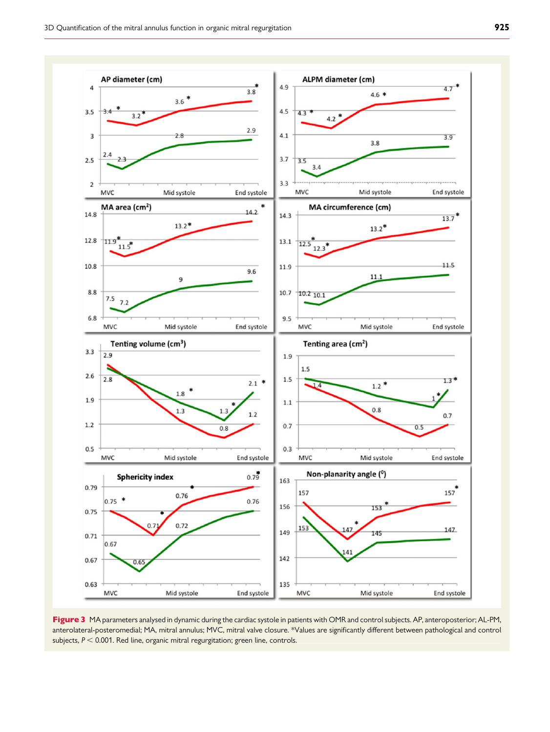<span id="page-7-0"></span>

Figure 3 MA parameters analysed in dynamic during the cardiac systole in patients with OMR and control subjects. AP, anteroposterior; AL-PM, anterolateral-posteromedial; MA, mitral annulus; MVC, mitral valve closure. \*Values are significantly different between pathological and control subjects,  $P < 0.001$ . Red line, organic mitral regurgitation; green line, controls.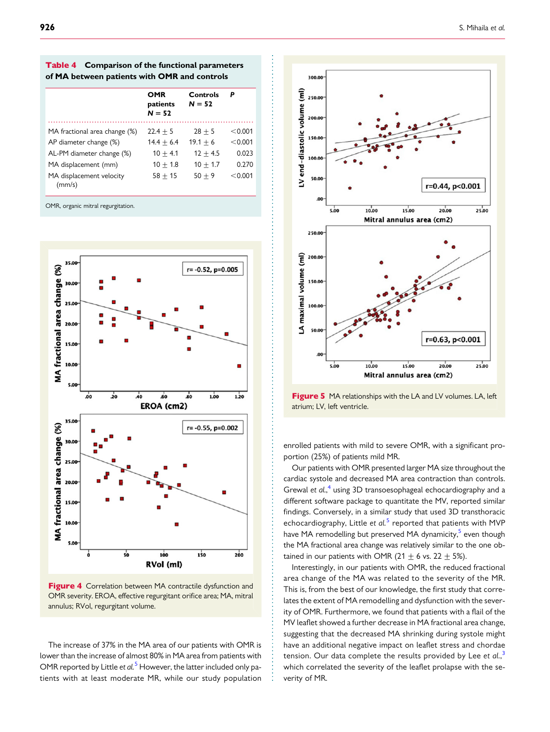<span id="page-8-0"></span>

| Table 4 Comparison of the functional parameters |
|-------------------------------------------------|
| of MA between patients with OMR and controls    |

|                                                                                                                                                    | <b>OMR</b><br>patients<br>$N = 52$                                  | Controls<br>$N = 52$                                           | P                                               |
|----------------------------------------------------------------------------------------------------------------------------------------------------|---------------------------------------------------------------------|----------------------------------------------------------------|-------------------------------------------------|
| MA fractional area change (%)<br>AP diameter change (%)<br>AL-PM diameter change (%)<br>MA displacement (mm)<br>MA displacement velocity<br>(mm/s) | $22.4 + 5$<br>$14.4 + 6.4$<br>$10 + 4.1$<br>$10 + 1.8$<br>$58 + 15$ | $28 + 5$<br>$19.1 + 6$<br>$12 + 4.5$<br>$10 + 1.7$<br>$50 + 9$ | < 0.001<br>< 0.001<br>0.023<br>0.270<br>< 0.001 |

OMR, organic mitral regurgitation.



Figure 4 Correlation between MA contractile dysfunction and OMR severity. EROA, effective regurgitant orifice area; MA, mitral annulus; RVol, regurgitant volume.

The increase of 37% in the MA area of our patients with OMR is lower than the increase of almost 80% in MA area from patients with OMR reported by Little et al.<sup>[5](#page-11-0)</sup> However, the latter included only patients with at least moderate MR, while our study population



Figure 5 MA relationships with the LA and LV volumes. LA, left atrium; LV, left ventricle.

enrolled patients with mild to severe OMR, with a significant proportion (25%) of patients mild MR.

Our patients with OMR presented larger MA size throughout the cardiac systole and decreased MA area contraction than controls. Grewal et al.,<sup>[4](#page-10-0)</sup> using 3D transoesophageal echocardiography and a different software package to quantitate the MV, reported similar findings. Conversely, in a similar study that used 3D transthoracic echocardiography, Little et  $al.5$  $al.5$  reported that patients with MVP have MA remodelling but preserved MA dynamicity,<sup>5</sup> even though the MA fractional area change was relatively similar to the one obtained in our patients with OMR (21  $\pm$  6 vs. 22  $\pm$  5%).

Interestingly, in our patients with OMR, the reduced fractional area change of the MA was related to the severity of the MR. This is, from the best of our knowledge, the first study that correlates the extent of MA remodelling and dysfunction with the severity of OMR. Furthermore, we found that patients with a flail of the MV leaflet showed a further decrease in MA fractional area change, suggesting that the decreased MA shrinking during systole might have an additional negative impact on leaflet stress and chordae tension. Our data complete the results provided by Lee et al.,<sup>[3](#page-10-0)</sup> which correlated the severity of the leaflet prolapse with the severity of MR.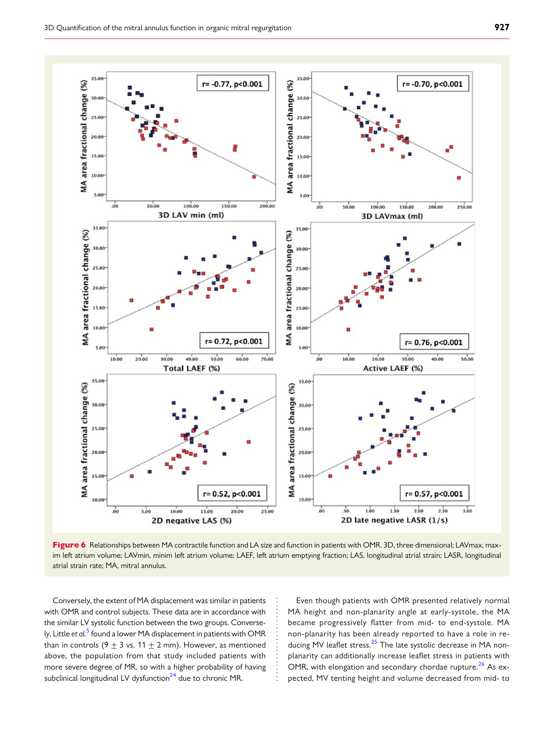<span id="page-9-0"></span>![](_page_9_Figure_1.jpeg)

Figure 6 Relationships between MA contractile function and LA size and function in patients with OMR. 3D, three dimensional; LAVmax, maxim left atrium volume; LAVmin, minim left atrium volume; LAEF, left atrium emptying fraction; LAS, longitudinal atrial strain; LASR, longitudinal atrial strain rate; MA, mitral annulus.

Conversely, the extent of MA displacement was similar in patients with OMR and control subjects. These data are in accordance with the similar LV systolic function between the two groups. Converse-ly, Little et al.<sup>[5](#page-11-0)</sup> found a lower MA displacement in patients with OMR than in controls (9  $\pm$  3 vs. 11  $\pm$  2 mm). However, as mentioned above, the population from that study included patients with more severe degree of MR, so with a higher probability of having subclinical longitudinal LV dysfunction $^{24}$  $^{24}$  $^{24}$  due to chronic MR.

Even though patients with OMR presented relatively normal MA height and non-planarity angle at early-systole, the MA became progressively flatter from mid- to end-systole. MA non-planarity has been already reported to have a role in re-ducing MV leaflet stress.<sup>[25](#page-11-0)</sup> The late systolic decrease in MA nonplanarity can additionally increase leaflet stress in patients with OMR, with elongation and secondary chordae rupture.<sup>[26](#page-11-0)</sup> As expected, MV tenting height and volume decreased from mid- to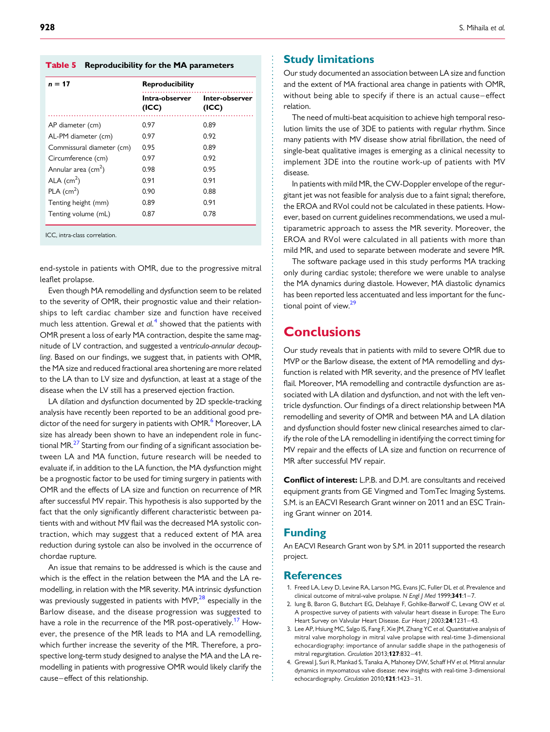| $n = 17$                        | <b>Reproducibility</b>  |                         |  |  |
|---------------------------------|-------------------------|-------------------------|--|--|
|                                 | Intra-observer<br>(ICC) | Inter-observer<br>(ICC) |  |  |
| AP diameter (cm)                | 0.97                    | 0.89                    |  |  |
| AL-PM diameter (cm)             | 0.97                    | 0.92                    |  |  |
| Commissural diameter (cm)       | 0.95                    | 0.89                    |  |  |
| Circumference (cm)              | 0.97                    | 0.92                    |  |  |
| Annular area (cm <sup>2</sup> ) | 0.98                    | 0.95                    |  |  |
| ALA $(cm2)$                     | 0.91                    | 0.91                    |  |  |
| $PLA$ (cm <sup>2</sup> )        | 0.90                    | 0.88                    |  |  |
| Tenting height (mm)             | 0.89                    | 0.91                    |  |  |
| Tenting volume (mL)             | 0.87                    | 0.78                    |  |  |

<span id="page-10-0"></span>Table 5 Reproducibility for the MA parameters

ICC, intra-class correlation.

end-systole in patients with OMR, due to the progressive mitral leaflet prolapse.

Even though MA remodelling and dysfunction seem to be related to the severity of OMR, their prognostic value and their relationships to left cardiac chamber size and function have received much less attention. Grewal et  $al<sup>4</sup>$  showed that the patients with OMR present a loss of early MA contraction, despite the same magnitude of LV contraction, and suggested a ventriculo-annular decoupling. Based on our findings, we suggest that, in patients with OMR, the MA size and reduced fractional area shortening are more related to the LA than to LV size and dysfunction, at least at a stage of the disease when the LV still has a preserved ejection fraction.

LA dilation and dysfunction documented by 2D speckle-tracking analysis have recently been reported to be an additional good pre-dictor of the need for surgery in patients with OMR.<sup>[6](#page-11-0)</sup> Moreover, LA size has already been shown to have an independent role in functional MR.<sup>27</sup> Starting from our finding of a significant association between LA and MA function, future research will be needed to evaluate if, in addition to the LA function, the MA dysfunction might be a prognostic factor to be used for timing surgery in patients with OMR and the effects of LA size and function on recurrence of MR after successful MV repair. This hypothesis is also supported by the fact that the only significantly different characteristic between patients with and without MV flail was the decreased MA systolic contraction, which may suggest that a reduced extent of MA area reduction during systole can also be involved in the occurrence of chordae rupture.

An issue that remains to be addressed is which is the cause and which is the effect in the relation between the MA and the LA remodelling, in relation with the MR severity. MA intrinsic dysfunction was previously suggested in patients with MVP,<sup>[28](#page-11-0)</sup> especially in the Barlow disease, and the disease progression was suggested to have a role in the recurrence of the MR post-operatively.<sup>[17](#page-11-0)</sup> However, the presence of the MR leads to MA and LA remodelling, which further increase the severity of the MR. Therefore, a prospective long-term study designed to analyse the MA and the LA remodelling in patients with progressive OMR would likely clarify the cause–effect of this relationship.

## Study limitations

Our study documented an association between LA size and function and the extent of MA fractional area change in patients with OMR, without being able to specify if there is an actual cause–effect relation.

The need of multi-beat acquisition to achieve high temporal resolution limits the use of 3DE to patients with regular rhythm. Since many patients with MV disease show atrial fibrillation, the need of single-beat qualitative images is emerging as a clinical necessity to implement 3DE into the routine work-up of patients with MV disease.

In patients with mild MR, the CW-Doppler envelope of the regurgitant jet was not feasible for analysis due to a faint signal; therefore, the EROA and RVol could not be calculated in these patients. However, based on current guidelines recommendations, we used a multiparametric approach to assess the MR severity. Moreover, the EROA and RVol were calculated in all patients with more than mild MR, and used to separate between moderate and severe MR.

The software package used in this study performs MA tracking only during cardiac systole; therefore we were unable to analyse the MA dynamics during diastole. However, MA diastolic dynamics has been reported less accentuated and less important for the func-tional point of view.<sup>[29](#page-11-0)</sup>

# **Conclusions**

Our study reveals that in patients with mild to severe OMR due to MVP or the Barlow disease, the extent of MA remodelling and dysfunction is related with MR severity, and the presence of MV leaflet flail. Moreover, MA remodelling and contractile dysfunction are associated with LA dilation and dysfunction, and not with the left ventricle dysfunction. Our findings of a direct relationship between MA remodelling and severity of OMR and between MA and LA dilation and dysfunction should foster new clinical researches aimed to clarify the role of the LA remodelling in identifying the correct timing for MV repair and the effects of LA size and function on recurrence of MR after successful MV repair.

Conflict of interest: L.P.B. and D.M. are consultants and received equipment grants from GE Vingmed and TomTec Imaging Systems. S.M. is an EACVI Research Grant winner on 2011 and an ESC Training Grant winner on 2014.

## Funding

An EACVI Research Grant won by S.M. in 2011 supported the research project.

#### **References**

- 1. Freed LA, Levy D, Levine RA, Larson MG, Evans JC, Fuller DL et al. Prevalence and clinical outcome of mitral-valve prolapse. N Engl | Med 1999;341:1-7.
- 2. Iung B, Baron G, Butchart EG, Delahaye F, Gohlke-Barwolf C, Levang OW et al. A prospective survey of patients with valvular heart disease in Europe: The Euro Heart Survey on Valvular Heart Disease. Eur Heart | 2003;24:1231-43.
- 3. Lee AP, Hsiung MC, Salgo IS, Fang F, Xie JM, Zhang YC et al. Quantitative analysis of mitral valve morphology in mitral valve prolapse with real-time 3-dimensional echocardiography: importance of annular saddle shape in the pathogenesis of mitral regurgitation. Circulation 2013;127:832–41.
- 4. Grewal J, Suri R, Mankad S, Tanaka A, Mahoney DW, Schaff HV et al. Mitral annular dynamics in myxomatous valve disease: new insights with real-time 3-dimensional echocardiography. Circulation 2010;121:1423–31.